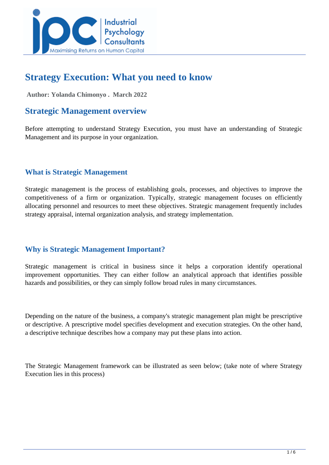

# **Strategy Execution: What you need to know**

 **Author: Yolanda Chimonyo . March 2022** 

### **Strategic Management overview**

Before attempting to understand Strategy Execution, you must have an understanding of Strategic Management and its purpose in your organization.

### **What is Strategic Management**

Strategic management is the process of establishing goals, processes, and objectives to improve the competitiveness of a firm or organization. Typically, strategic management focuses on efficiently allocating personnel and resources to meet these objectives. Strategic management frequently includes strategy appraisal, internal organization analysis, and strategy implementation.

### **Why is Strategic Management Important?**

Strategic management is critical in business since it helps a corporation identify operational improvement opportunities. They can either follow an analytical approach that identifies possible hazards and possibilities, or they can simply follow broad rules in many circumstances.

Depending on the nature of the business, a company's strategic management plan might be prescriptive or descriptive. A prescriptive model specifies development and execution strategies. On the other hand, a descriptive technique describes how a company may put these plans into action.

The Strategic Management framework can be illustrated as seen below; (take note of where Strategy Execution lies in this process)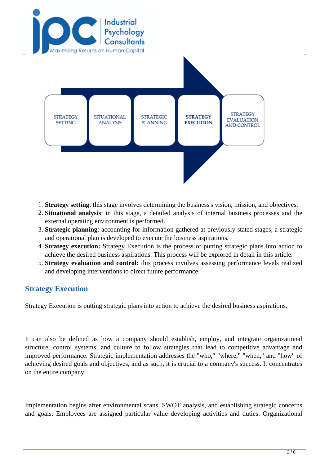

- 1. **Strategy setting**: this stage involves determining the business's vision, mission, and objectives.
- 2. **Situational analysis**: in this stage, a detailed analysis of internal business processes and the external operating environment is performed.
- 3. **Strategic planning**: accounting for information gathered at previously stated stages, a strategic and operational plan is developed to execute the business aspirations.
- 4. **Strategy execution:** Strategy Execution is the process of putting strategic plans into action to achieve the desired business aspirations. This process will be explored in detail in this article.
- 5. **Strategy evaluation and control:** this process involves assessing performance levels realized and developing interventions to direct future performance.

### **Strategy Execution**

Strategy Execution is putting strategic plans into action to achieve the desired business aspirations.

It can also be defined as how a company should establish, employ, and integrate organizational structure, control systems, and culture to follow strategies that lead to competitive advantage and improved performance. Strategic implementation addresses the "who," "where," "when," and "how" of achieving desired goals and objectives, and as such, it is crucial to a company's success. It concentrates on the entire company.

Implementation begins after environmental scans, SWOT analysis, and establishing strategic concerns and goals. Employees are assigned particular value developing activities and duties. Organizational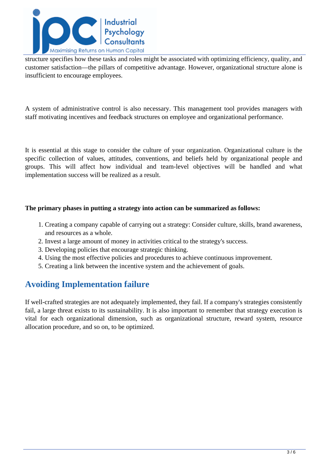

structure specifies how these tasks and roles might be associated with optimizing efficiency, quality, and customer satisfaction—the pillars of competitive advantage. However, organizational structure alone is insufficient to encourage employees.

A system of administrative control is also necessary. This management tool provides managers with staff motivating incentives and feedback structures on employee and organizational performance.

It is essential at this stage to consider the culture of your organization. Organizational culture is the specific collection of values, attitudes, conventions, and beliefs held by organizational people and groups. This will affect how individual and team-level objectives will be handled and what implementation success will be realized as a result.

#### **The primary phases in putting a strategy into action can be summarized as follows:**

- 1. Creating a company capable of carrying out a strategy: Consider culture, skills, brand awareness, and resources as a whole.
- 2. Invest a large amount of money in activities critical to the strategy's success.
- 3. Developing policies that encourage strategic thinking.
- 4. Using the most effective policies and procedures to achieve continuous improvement.
- 5. Creating a link between the incentive system and the achievement of goals.

## **Avoiding Implementation failure**

If well-crafted strategies are not adequately implemented, they fail. If a company's strategies consistently fail, a large threat exists to its sustainability. It is also important to remember that strategy execution is vital for each organizational dimension, such as organizational structure, reward system, resource allocation procedure, and so on, to be optimized.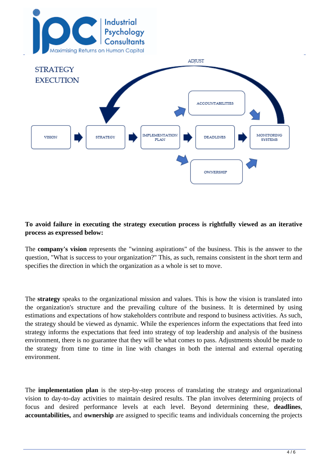



#### **To avoid failure in executing the strategy execution process is rightfully viewed as an iterative process as expressed below:**

The **company's vision** represents the "winning aspirations" of the business. This is the answer to the question, "What is success to your organization?" This, as such, remains consistent in the short term and specifies the direction in which the organization as a whole is set to move.

The **strategy** speaks to the organizational mission and values. This is how the vision is translated into the organization's structure and the prevailing culture of the business. It is determined by using estimations and expectations of how stakeholders contribute and respond to business activities. As such, the strategy should be viewed as dynamic. While the experiences inform the expectations that feed into strategy informs the expectations that feed into strategy of top leadership and analysis of the business environment, there is no guarantee that they will be what comes to pass. Adjustments should be made to the strategy from time to time in line with changes in both the internal and external operating environment.

The **implementation plan** is the step-by-step process of translating the strategy and organizational vision to day-to-day activities to maintain desired results. The plan involves determining projects of focus and desired performance levels at each level. Beyond determining these, **deadlines**, **accountabilities,** and **ownership** are assigned to specific teams and individuals concerning the projects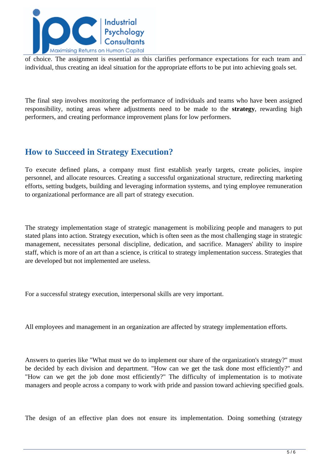

of choice. The assignment is essential as this clarifies performance expectations for each team and individual, thus creating an ideal situation for the appropriate efforts to be put into achieving goals set.

The final step involves monitoring the performance of individuals and teams who have been assigned responsibility, noting areas where adjustments need to be made to the **strategy**, rewarding high performers, and creating performance improvement plans for low performers.

# **How to Succeed in Strategy Execution?**

To execute defined plans, a company must first establish yearly targets, create policies, inspire personnel, and allocate resources. Creating a successful organizational structure, redirecting marketing efforts, setting budgets, building and leveraging information systems, and tying employee remuneration to organizational performance are all part of strategy execution.

The strategy implementation stage of strategic management is mobilizing people and managers to put stated plans into action. Strategy execution, which is often seen as the most challenging stage in strategic management, necessitates personal discipline, dedication, and sacrifice. Managers' ability to inspire staff, which is more of an art than a science, is critical to strategy implementation success. Strategies that are developed but not implemented are useless.

For a successful strategy execution, interpersonal skills are very important.

All employees and management in an organization are affected by strategy implementation efforts.

Answers to queries like "What must we do to implement our share of the organization's strategy?" must be decided by each division and department. "How can we get the task done most efficiently?" and "How can we get the job done most efficiently?" The difficulty of implementation is to motivate managers and people across a company to work with pride and passion toward achieving specified goals.

The design of an effective plan does not ensure its implementation. Doing something (strategy